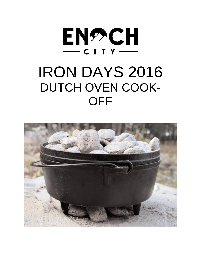

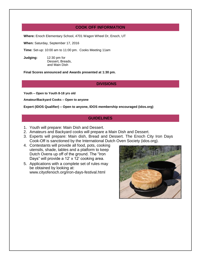## **COOK OFF INFORMATION**

**Where:** Enoch Elementary School, 4701 Wagon Wheel Dr, Enoch, UT

**When:** Saturday, September 17, 2016

**Time:** Set-up: 10:00 am to 11:00 pm. Cooks Meeting 11am

**Judging:** 12:30 pm for Dessert, Breads, and Main Dish

**Final Scores announced and Awards presented at 1:30 pm.**

#### **DIVISIONS**

**Youth – Open to Youth 8-18 yrs old** 

**Amateur/Backyard Cooks – Open to anyone**

**Expert (IDOS Qualifier) – Open to anyone, IDOS membership encouraged (idos.org)**

### **GUIDELINES**

- 1. Youth will prepare: Main Dish and Dessert.
- 2. Amateurs and Backyard cooks will prepare a Main Dish and Dessert.
- 3. Experts will prepare: Main dish, Bread and Dessert. The Enoch City Iron Days Cook-Off is sanctioned by the International Dutch Oven Society (idos.org).
- 4. Contestants will provide all food, pots, cooking utensils, shade, tables and a platform to keep Dutch Ovens up off of the ground. The "Iron Days" will provide a 12' x 12' cooking area.
- 5. Applications with a complete set of rules may be obtained by looking at: www.cityofenoch.org/iron-days-festival.html

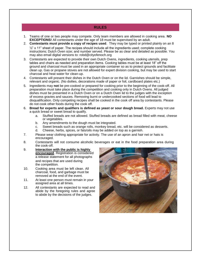#### **RULES**

- 1. Teams of one or two people may compete. Only team members are allowed in cooking area. **NO EXCEPTIONS!** All contestants under the age of 18 must be supervised by an adult.
- 2. **Contestants must provide a copy of recipes used**. They may be typed or printed plainly on an 8  $\frac{1}{2}$ " x 11" sheet of paper. The recipes should include all the ingredients used; complete cooking instructions; Dutch Oven size; and number served. Please be as clear and detailed as possible. You may also email digital versions to: robd@cityofenoch.org
- 3. Contestants are expected to provide their own Dutch Ovens, ingredients, cooking utensils, prep tables and chairs as needed and preparation items. Cooking tables must be at least 18" off the ground and charcoal must be used in an appropriate container so as to protect grounds and facilitate clean up. Gas or propane stoves are not allowed for expert division cooking, but may be used to start charcoal and heat water for clean-up.
- 4. Contestants will present their dishes in the Dutch Oven or on the lid. Garnishes should be simple, relevant and organic. (No doilies, decorations made of paper or foil, cardboard plates etc.)
- 5. Ingredients may **not** be pre-cooked or prepared for cooking prior to the beginning of the cook-off. All preparation must take place during the competition and cooking only in Dutch Ovens. All judged dishes must be presented in a Dutch Oven or on a Dutch Oven lid to the judges with the exception of excess gravies and sauces. Removing burnt or undercooked sections of food will lead to disqualification. Only competing recipes shall be cooked in the cook off area by contestants. Please do not cook other foods during the cook off.
- 6. **Bread for experts and qualifiers is defined as yeast or sour dough bread.** Experts may not use a quick bread or sweet bread to qualify.
	- a. Stuffed breads are not allowed. Stuffed breads are defined as bread filled with meat, cheese or vegetables.
	- b. Any amendments to the dough must be integrated.
	- c. Sweet breads such as orange rolls, monkey bread, etc. will be considered as desserts.
	- d. Cheese, herbs, spices, or fats/oils may be added on top as a garnish.
- 7. Please wear clothing appropriate for activity. The use of an apron and hair net or hats is encouraged.
- 8. Contestants will not consume alcoholic beverages or eat in the food preparation area during the cook-off.
- 9. **Interaction with the public is highly encouraged**. Registration is considered a release statement for all photographs and recipes that are used during the competition.
- 10. Cooking area must be left clean. All charcoal, food, and garbage must be removed at the end of the event.
- 11. At least one person must remain in your assigned area at all times.
- 12. All contestants are expected to read and abide by the foregoing rules and agree to abide by the decisions of the judges.

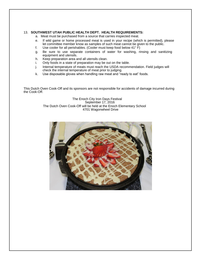#### 13. **SOUTHWEST UTAH PUBLIC HEALTH DEPT. HEALTH REQUIREMENTS:**

- a. Meat must be purchased from a source that carries inspected meat.
- e. If wild game or home processed meat is used in your recipe (which is permitted), please let committee member know as samples of such meat cannot be given to the public.
- f. Use cooler for all perishables. (Cooler must keep food below 41° F)
- g. Be sure to use separate containers of water for washing, rinsing and sanitizing equipment and utensils.
- h. Keep preparation area and all utensils clean.
- i. Only foods in a state of preparation may be out on the table.
- j. Internal temperature of meats must reach the USDA recommendation. Field judges will check the internal temperature of meat prior to judging.
- k. Use disposable gloves when handling raw meat and "ready to eat" foods.

This Dutch Oven Cook-Off and its sponsors are not responsible for accidents of damage incurred during the Cook-Off.

> The Enoch City Iron Days Festival September 17, 2016 The Dutch Oven Cook-Off will be held at the Enoch Elementary School 4701 Wagonwheel Drive